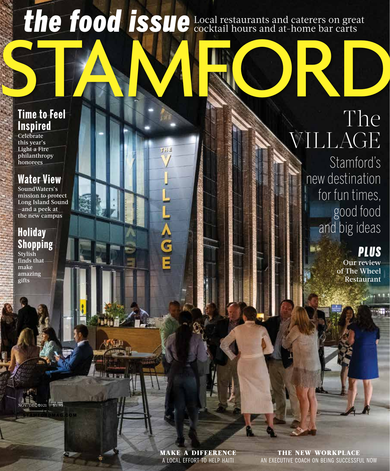# the food issue Local restaurants and caterers on great

工訂目

A<br>G<br>E

### **Time to Feel Inspired**

**Celebrate** this year's Light a Fire philanthropy honorees

# **Water View**

SoundWaters's mission to protect Long Island Sound —and a peek at the new campus

## **Holiday Shopping**

Stylish finds that make amazing gifts

STAMFORDMAG.COM

NOV/DEC 2021 | \$5.95

# STAM RORD The VILLAGE

Stamford's new destination for fun times, good food and big ideas

# *PLUS*

Our review of The Wheel Restaurant

make a difference A LOCAL EFFORT TO HELP HAITI

the new workplace AN EXECUTIVE COACH ON BEING SUCCESSFUL NOW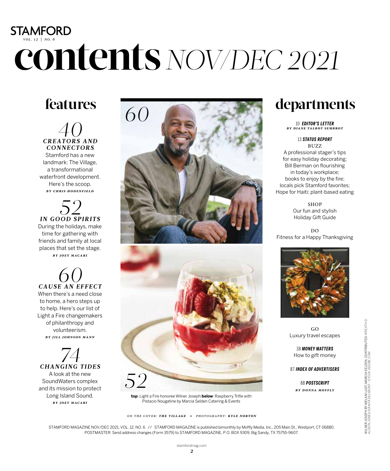# **STAMFORD** *vol. 12 | no. 6* **contents***NOV/DEC 2021*

# **features**

*40*<br> *CREATORS AND CONNECTORS*

Stamford has a new landmark: The Village, a transformational waterfront development. Here's the scoop. *by chris hodenfield*

*52 IN GOOD SPIRITS* During the holidays, make time for gathering with friends and family at local places that set the stage. *by joey macari* 

*60 CAUSE AN EFFECT* When there's a need close

to home, a hero steps up to help. Here's our list of Light a Fire changemakers of philanthropy and volunteerism. *by jill johnson mann*

*74 CHANGING TIDES* A look at the new SoundWaters complex and its mission to protect Long Island Sound. *by joey macari*



**top**: Light a Fire honoree Wilner Joseph **below**: Raspberry Trifle with Pistacio Nougatine by Marcia Selden Catering & Events

# **departments**

10 *EDITOR'S LETTER by diane talbot sembrot*

13 *STATUS REPORT* 

BUZZ A professional stager's tips for easy holiday decorating; Bill Berman on flourishing in today's workplace; books to enjoy by the fire; locals pick Stamford favorites; Hope for Haiti; plant-based eating

> SHOP Our fun and stylish Holiday Gift Guide

DO Fitness for a Happy Thanksgiving



GO Luxury travel escapes

38 *MONEY MATTERS* How to gift money

87 *INDEX OF ADVERTISERS*

88 *POSTSCRIPT by d onna moffly* 

STAMFORD MAGAZINE NOV/DEC 2021, VOL. 12, NO. 6 // STAMFORD MAGAZINE is published bimonthly by Moffly Media, Inc., 205 Main St., Westport, CT 06880. POSTMASTER: Send address changes (Form 3579) to STAMFORD MAGAZINE, P.O. BOX 9309, Big Sandy, TX 75755-9607.

*on the cover: the village • photography: kyle norton*

*2*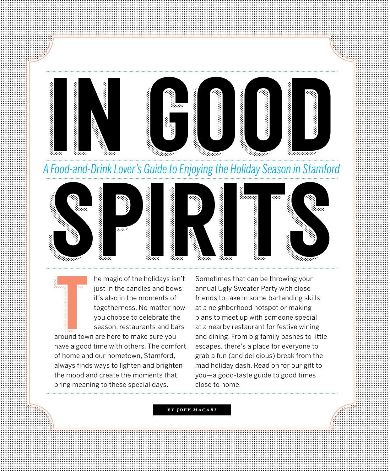



he magic of the holidays isn't just in the candles and bows; it's also in the moments of togetherness. No matter how you choose to celebrate the season, restaurants and bars

 $\begin{array}{c}\n\hline\n\text{1} & \text{2} \\
\hline\n\text{2} & \text{2} \\
\hline\n\text{3} & \text{2} \\
\hline\n\end{array}$ around town are here to make sure you have a good time with others. The comfort of home and our hometown, Stamford, always finds ways to lighten and brighten the mood and create the moments that bring meaning to these special days.

Sometimes that can be throwing your annual Ugly Sweater Party with close friends to take in some bartending skills at a neighborhood hotspot or making plans to meet up with someone special at a nearby restaurant for festive wining and dining. From big family bashes to little escapes, there's a place for everyone to grab a fun (and delicious) break from the mad holiday dash. Read on for our gift to you—a good-taste guide to good times close to home.

*by joey macari*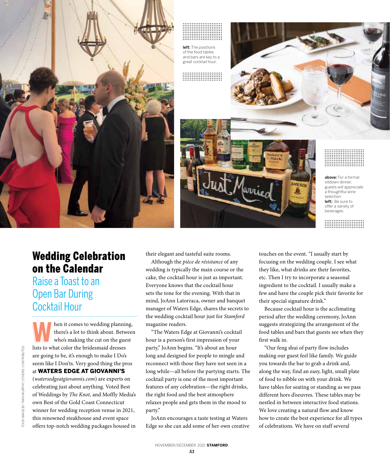



### Wedding Celebration on the Calendar

Raise a Toast to an Open Bar During Cocktail Hour

then it comes to wedding planning,<br>there's a lot to think about. Between<br>who's making the cut on the guest<br>lists to what color the bridesmaid dresses there's a lot to think about. Between who's making the cut on the guest lists to what color the bridesmaid dresses are going to be, it's enough to make I Do's seem like I Don'ts. Very good thing the pros at WATERS EDGE AT GIOVANNI'S (*watersedgeatgiovannis.com*) are experts on celebrating just about anything. Voted Best of Weddings by *The Knot,* and Moffly Media's own Best of the Gold Coast Connecticut winner for wedding reception venue in 2021, this renowned steakhouse and event space offers top-notch wedding packages housed in their elegant and tasteful suite rooms.

Although the *pièce de résistance* of any wedding is typically the main course or the cake, the cocktail hour is just as important. Everyone knows that the cocktail hour sets the tone for the evening. With that in mind, JoAnn Latorraca, owner and banquet manager of Waters Edge, shares the secrets to the wedding cocktail hour just for *Stamford* magazine readers.

"The Waters Edge at Giovanni's cocktail hour is a person's first impression of your party," JoAnn begins. "It's about an hour long and designed for people to mingle and reconnect with those they have not seen in a long while—all before the partying starts. The cocktail party is one of the most important features of any celebration—the right drinks, the right food and the best atmosphere relaxes people and gets them in the mood to party."

JoAnn encourages a taste testing at Waters Edge so she can add some of her own creative

touches on the event. "I usually start by focusing on the wedding couple. I see what they like, what drinks are their favorites, etc. Then I try to incorporate a seasonal ingredient to the cocktail. I usually make a few and have the couple pick their favorite for their special signature drink."

Because cocktail hour is the acclimating period after the wedding ceremony, JoAnn suggests strategizing the arrangement of the food tables and bars that guests see when they first walk in.

"Our feng shui of party flow includes making our guest feel like family. We guide you towards the bar to grab a drink and, along the way, find an easy, light, small plate of food to nibble on with your drink. We have tables for seating or standing as we pass different hors d'oeuvres. These tables may be nestled in between interactive food stations. We love creating a natural flow and know how to create the best experience for all types of celebrations. We have on staff several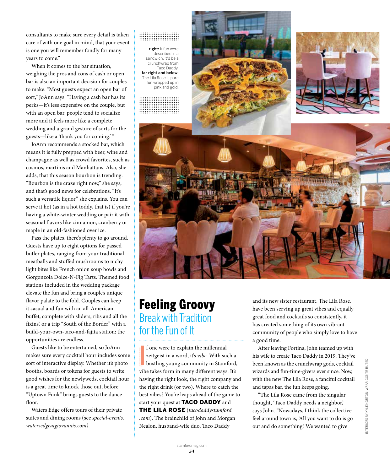consultants to make sure every detail is taken care of with one goal in mind, that your event is one you will remember fondly for many years to come."

When it comes to the bar situation, weighing the pros and cons of cash or open bar is also an important decision for couples to make. "Most guests expect an open bar of sort," JoAnn says. "Having a cash bar has its perks—it's less expensive on the couple, but with an open bar, people tend to socialize more and it feels more like a complete wedding and a grand gesture of sorts for the guests—like a 'thank you for coming.' "

JoAnn recommends a stocked bar, which means it is fully prepped with beer, wine and champagne as well as crowd favorites, such as cosmos, martinis and Manhattans. Also, she adds, that this season bourbon is trending. "Bourbon is the craze right now," she says, and that's good news for celebrations. "It's such a versatile liquor," she explains. You can serve it hot (as in a hot toddy, that is) if you're having a white-winter wedding or pair it with seasonal flavors like cinnamon, cranberry or maple in an old-fashioned over ice.

Pass the plates, there's plenty to go around. Guests have up to eight options for passed butler plates, ranging from your traditional meatballs and stuffed mushrooms to nichy light bites like French onion soup bowls and Gorgonzola Dolce-N-Fig Tarts. Themed food stations included in the wedding package elevate the fun and bring a couple's unique flavor palate to the fold. Couples can keep it casual and fun with an all-American buffet, complete with sliders, ribs and all the fixins', or a trip "South of the Border" with a build-your-own-taco-and-fajita station; the opportunities are endless.

Guests like to be entertained, so JoAnn makes sure every cocktail hour includes some sort of interactive display. Whether it's photo booths, boards or tokens for guests to write good wishes for the newlyweds, cocktail hour is a great time to knock those out, before "Uptown Funk" brings guests to the dance floor.

Waters Edge offers tours of their private suites and dining rooms (see *special-events. watersedgeatgiovannis.com)*.





### Feeling Groovy Break with Tradition for the Fun of It

f one were to explain the millennial<br>zeitgeist in a word, it's *vibe*. With such a<br>bustling young community in Stamford,<br>vibe takes form in many different ways. It's f one were to explain the millennial zeitgeist in a word, it's *vibe*. With such a bustling young community in Stamford, having the right look, the right company and the right drink (or two). Where to catch the best vibes? You're leaps ahead of the game to start your quest at **TACO DADDY** and THE LILA ROSE (*tacodaddystamford .com*). The brainchild of John and Morgan Nealon, husband-wife duo, Taco Daddy

and its new sister restaurant, The Lila Rose, have been serving up great vibes and equally great food and cocktails so consistently, it has created something of its own vibrant community of people who simply love to have a good time.

After leaving Fortina, John teamed up with his wife to create Taco Daddy in 2019. They've been known as the crunchwrap gods, cocktail wizards and fun-time-givers ever since. Now, with the new The Lila Rose, a fanciful cocktail and tapas bar, the fun keeps going.

"The Lila Rose came from the singular thought, 'Taco Daddy needs a neighbor,' says John. "Nowadays, I think the collective feel around town is, 'All you want to do is go out and do something.' We wanted to give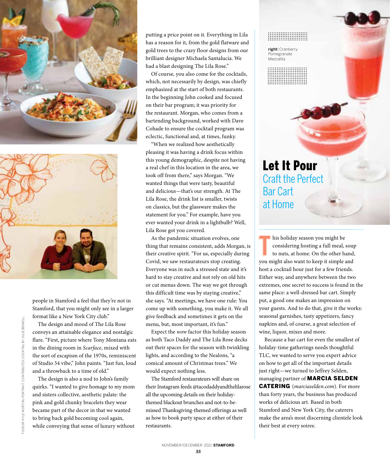



people in Stamford a feel that they're not in Stamford, that you might only see in a larger format like a New York City club."

The design and mood of The Lila Rose conveys an attainable elegance and nostalgic flare. "First, picture where Tony Montana eats in the dining room in *Scarface*, mixed with the sort of escapism of the 1970s, reminiscent of Studio 54 vibe," John paints. "Just fun, loud and a throwback to a time of old."

The design is also a nod to John's family quirks. "I wanted to give homage to my mom and sisters collective, aesthetic palate: the pink and gold chunky bracelets they wear became part of the decor in that we wanted to bring back gold becoming cool again, while conveying that sense of luxury without putting a price point on it. Everything in Lila has a reason for it, from the gold flatware and gold trees to the crazy floor designs from our brilliant designer Michaela Santalucia. We had a blast designing The Lila Rose."

Of course, you also come for the cocktails, which, not necessarily by design, was chiefly emphasized at the start of both restaurants. In the beginning John cooked and focused on their bar program; it was priority for the restaurant. Morgan, who comes from a bartending background, worked with Dave Cohade to ensure the cocktail program was eclectic, functional and, at times, funky.

"When we realized how aesthetically pleasing it was having a drink focus within this young demographic, despite not having a real chef in this location in the area, we took off from there," says Morgan. "We wanted things that were tasty, beautiful and delicious—that's our strength. At The Lila Rose, the drink list is smaller, twists on classics, but the glassware makes the statement for you." For example, have you ever wanted your drink in a lightbulb? Well, Lila Rose got you covered.

As the pandemic situation evolves, one thing that remains consistent, adds Morgan, is their creative spirit. "For us, especially during Covid, we saw restaurateurs stop creating. Everyone was in such a stressed state and it's hard to stay creative and not rely on old hits or cut menus down. The way we got through this difficult time was by staying creative," she says. "At meetings, we have one rule: You come up with something, you make it. We all give feedback and sometimes it gets on the menu, but, most important, it's fun."

Expect the *wow* factor this holiday season as both Taco Daddy and The Lila Rose decks out their spaces for the season with twinkling lights, and according to the Nealons, "a comical amount of Christmas trees." We would expect nothing less.

The Stamford restaurateurs will share on their Instagram feeds @tacodaddyandthelilarose all the upcoming details on their holidaythemed blackout brunches and not-to-bemissed Thanksgiving-themed offerings as well as how to book party space at either of their restaurants.

right: Cranberry Pomegranate Mezcalita

# Let It Pour Craft the Perfect Bar Cart at Home

his holiday season you might be<br>considering hosting a full meal, soul<br>to nuts, at home. On the other hand,<br>you might also want to keep it simple and his holiday season you might be considering hosting a full meal, soup to nuts, at home. On the other hand, host a cocktail hour just for a few friends. Either way, and anywhere between the two extremes, one secret to success is found in the same place: a well-dressed bar cart. Simply put, a good one makes an impression on your guests. And to do that, give it the works: seasonal garnishes, tasty appetizers, fancy napkins and, of course, a great selection of wine, liquor, mixes and more.

Because a bar cart for even the smallest of holiday-time gatherings needs thoughtful TLC, we wanted to serve you expert advice on how to get all of the important details just right—we turned to Jeffrey Selden, managing partner of MARCIA SELDEN CATERING (*marciaselden.com*). For more than forty years, the business has produced works of delicious art. Based in both Stamford and New York City, the caterers make the area's most discerning clientele look their best at every soiree.